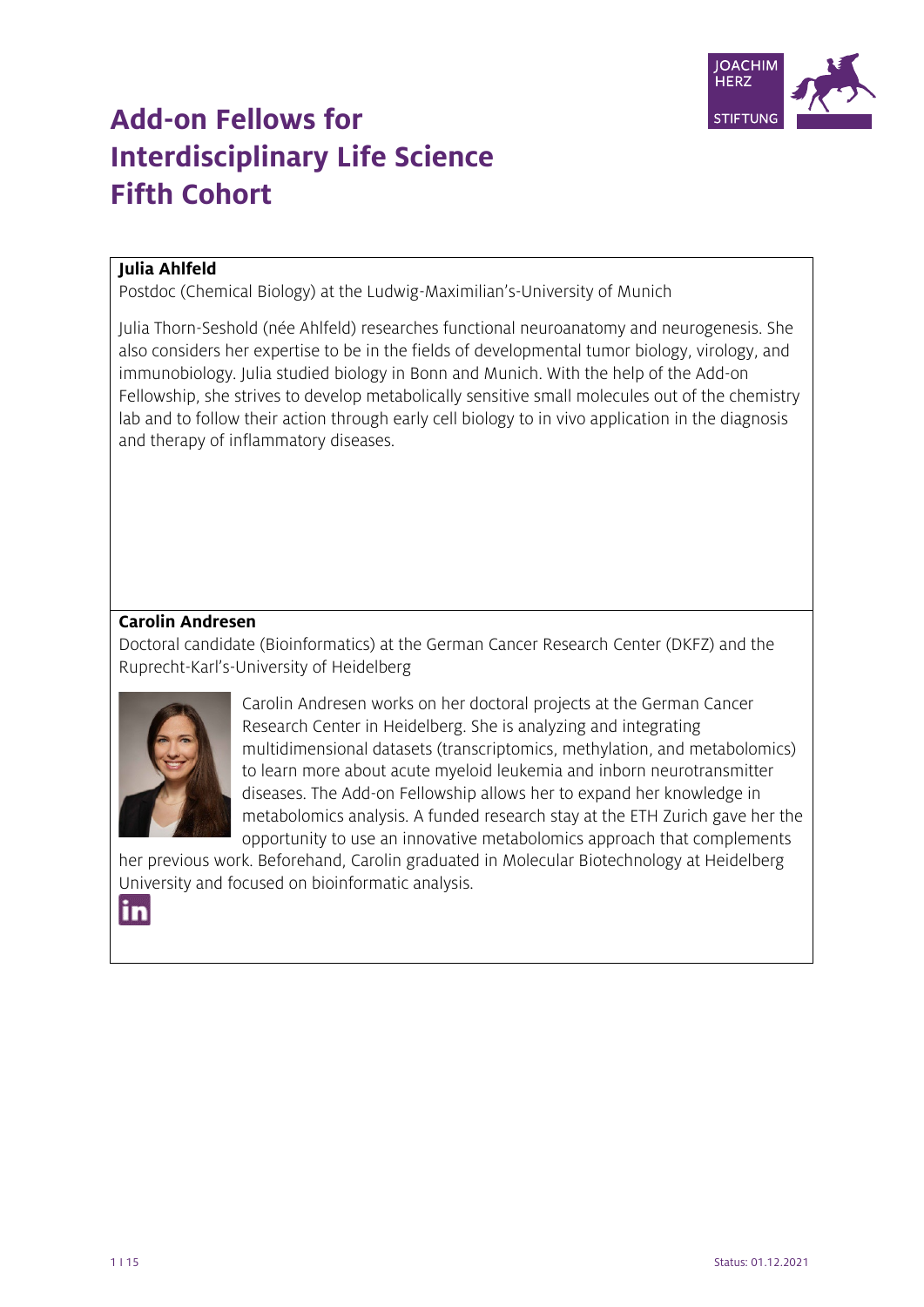

# **Add-on Fellows for Interdisciplinary Life Science Fifth Cohort**

## **Julia Ahlfeld**

Postdoc (Chemical Biology) at the Ludwig-Maximilian's-University of Munich

Julia Thorn-Seshold (née Ahlfeld) researches functional neuroanatomy and neurogenesis. She also considers her expertise to be in the fields of developmental tumor biology, virology, and immunobiology. Julia studied biology in Bonn and Munich. With the help of the Add-on Fellowship, she strives to develop metabolically sensitive small molecules out of the chemistry lab and to follow their action through early cell biology to in vivo application in the diagnosis and therapy of inflammatory diseases.

## **Carolin Andresen**

Doctoral candidate (Bioinformatics) at the German Cancer Research Center (DKFZ) and the Ruprecht-Karl's-University of Heidelberg



Carolin Andresen works on her doctoral projects at the German Cancer Research Center in Heidelberg. She is analyzing and integrating multidimensional datasets (transcriptomics, methylation, and metabolomics) to learn more about acute myeloid leukemia and inborn neurotransmitter diseases. The Add-on Fellowship allows her to expand her knowledge in metabolomics analysis. A funded research stay at the ETH Zurich gave her the opportunity to use an innovative metabolomics approach that complements

her previous work. Beforehand, Carolin graduated in Molecular Biotechnology at Heidelberg University and focused on bioinformatic analysis.

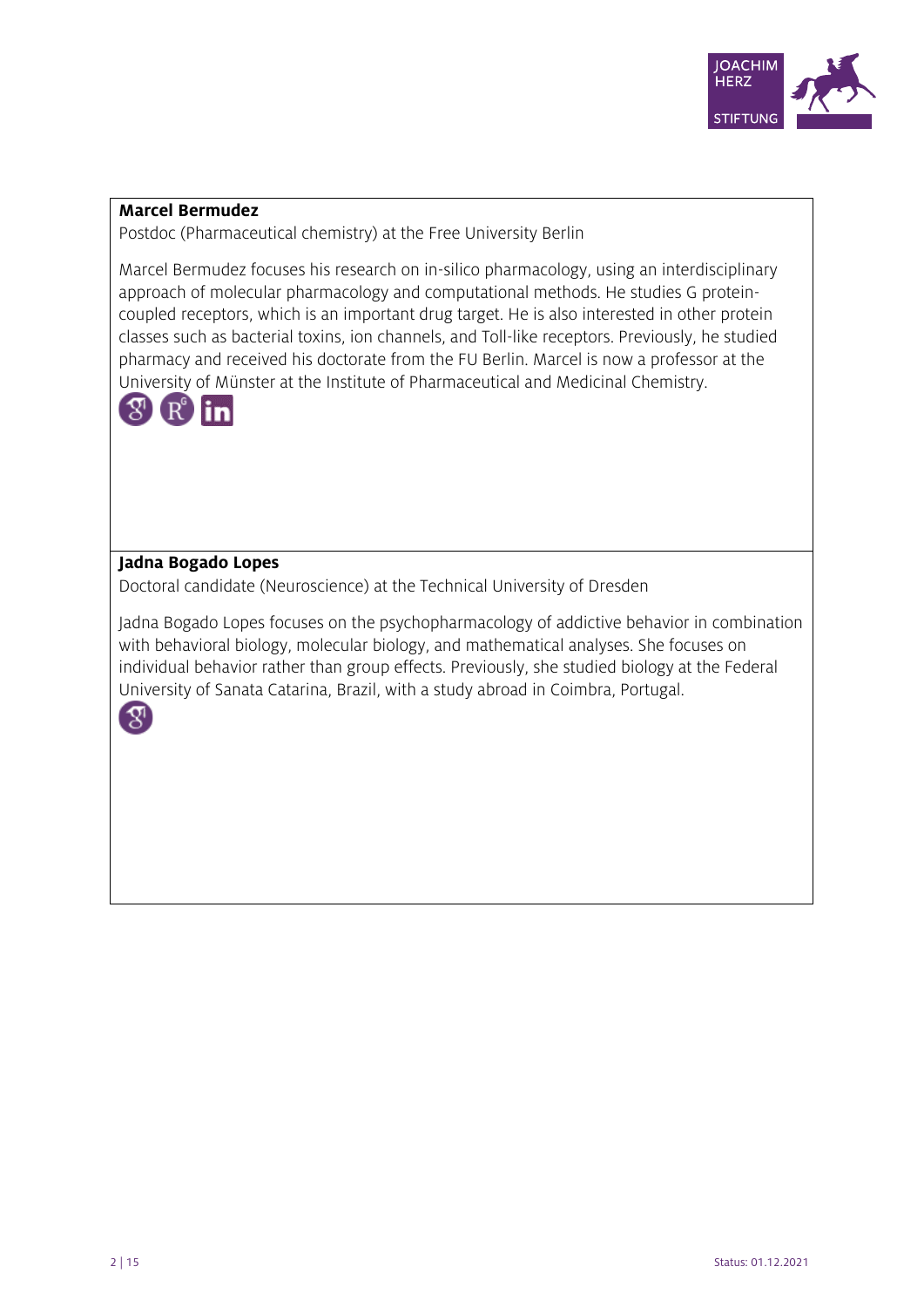

#### **Marcel Bermudez**

Postdoc (Pharmaceutical chemistry) at the Free University Berlin

Marcel Bermudez focuses his research on in-silico pharmacology, using an interdisciplinary approach of molecular pharmacology and computational methods. He studies G proteincoupled receptors, which is an important drug target. He is also interested in other protein classes such as bacterial toxins, ion channels, and Toll-like receptors. Previously, he studied pharmacy and received his doctorate from the FU Berlin. Marcel is now a professor at the University of Münster at the Institute of Pharmaceutical and Medicinal Chemistry.



## **Jadna Bogado Lopes**

Doctoral candidate (Neuroscience) at the Technical University of Dresden

Jadna Bogado Lopes focuses on the psychopharmacology of addictive behavior in combination with behavioral biology, molecular biology, and mathematical analyses. She focuses on individual behavior rather than group effects. Previously, she studied biology at the Federal University of Sanata Catarina, Brazil, with a study abroad in Coimbra, Portugal.

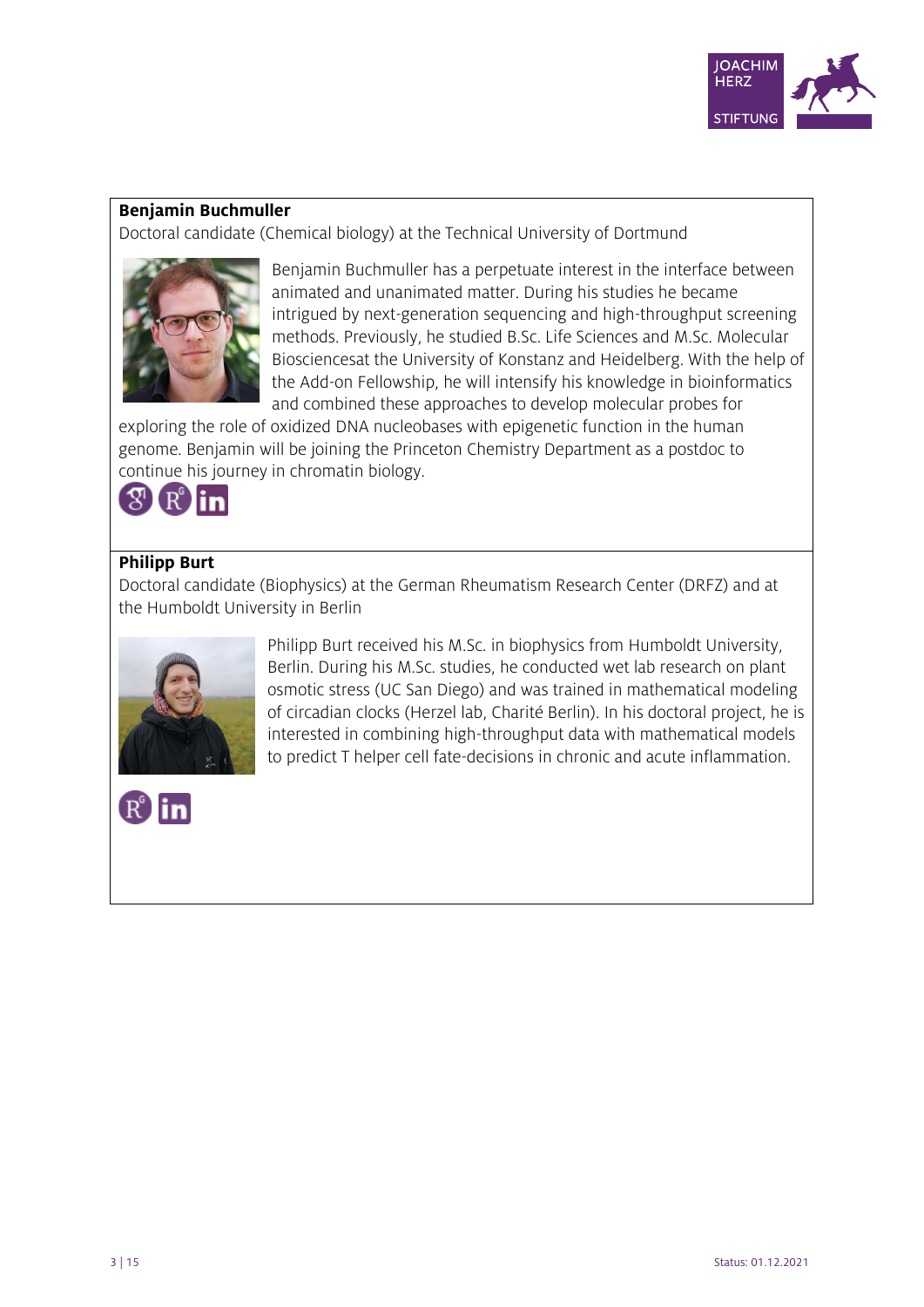

#### **Benjamin Buchmuller**

Doctoral candidate (Chemical biology) at the Technical University of Dortmund



Benjamin Buchmuller has a perpetuate interest in the interface between animated and unanimated matter. During his studies he became intrigued by next-generation sequencing and high-throughput screening methods. Previously, he studied B.Sc. Life Sciences and M.Sc. Molecular Biosciencesat the University of Konstanz and Heidelberg. With the help of the Add-on Fellowship, he will intensify his knowledge in bioinformatics and combined these approaches to develop molecular probes for

exploring the role of oxidized DNA nucleobases with epigenetic function in the human genome. Benjamin will be joining the Princeton Chemistry Department as a postdoc to continue his journey in chromatin biology.



#### **Philipp Burt**

Doctoral candidate (Biophysics) at the German Rheumatism Research Center (DRFZ) and at the Humboldt University in Berlin



Philipp Burt received his M.Sc. in biophysics from Humboldt University, Berlin. During his M.Sc. studies, he conducted wet lab research on plant osmotic stress (UC San Diego) and was trained in mathematical modeling of circadian clocks (Herzel lab, Charité Berlin). In his doctoral project, he is interested in combining high-throughput data with mathematical models to predict T helper cell fate-decisions in chronic and acute inflammation.

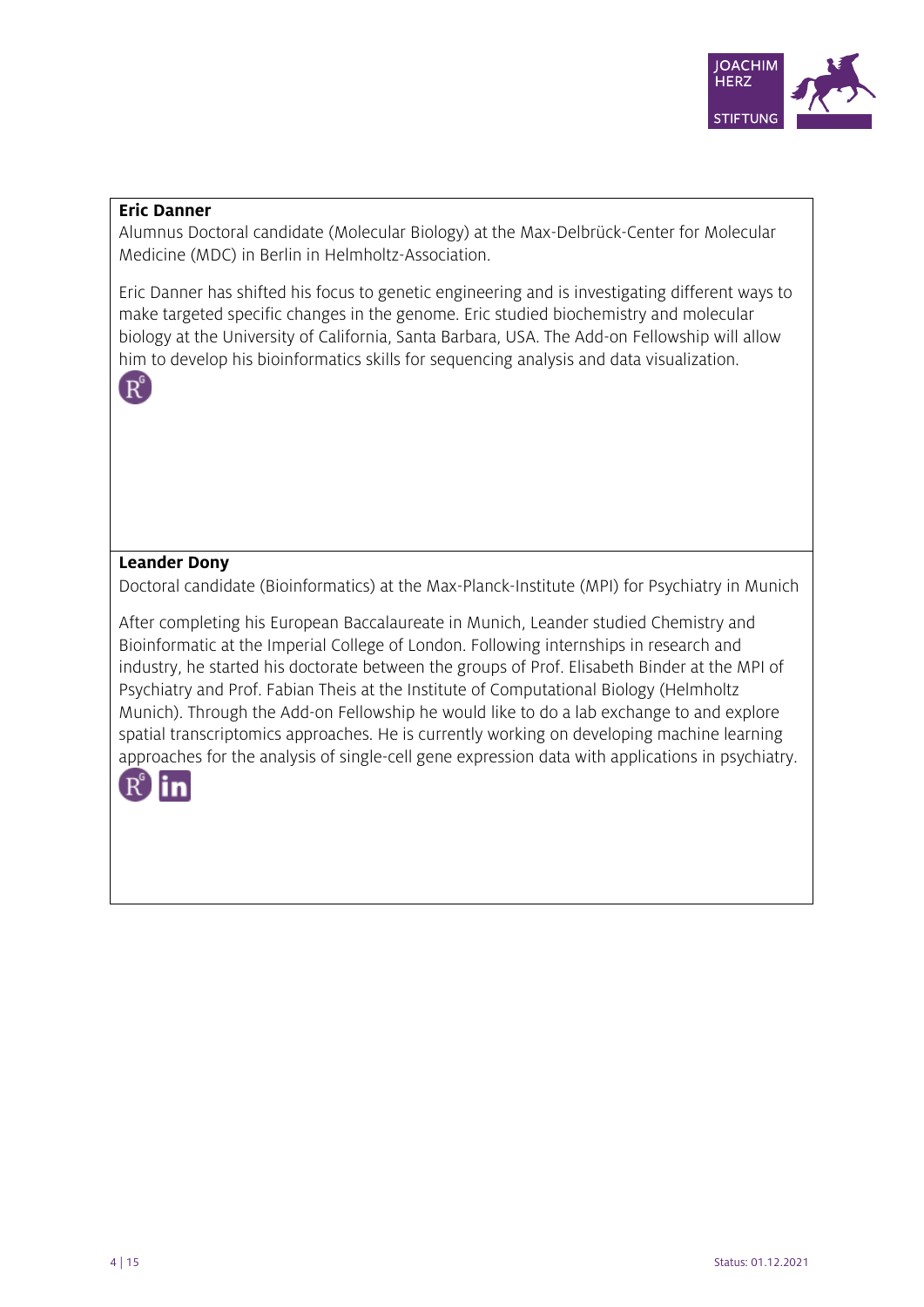

#### **Eric Danner**

Alumnus Doctoral candidate (Molecular Biology) at the Max-Delbrück-Center for Molecular Medicine (MDC) in Berlin in Helmholtz-Association.

Eric Danner has shifted his focus to genetic engineering and is investigating different ways to make targeted specific changes in the genome. Eric studied biochemistry and molecular biology at the University of California, Santa Barbara, USA. The Add-on Fellowship will allow him to develop his bioinformatics skills for sequencing analysis and data visualization.



## **Leander Dony**

Doctoral candidate (Bioinformatics) at the Max-Planck-Institute (MPI) for Psychiatry in Munich

After completing his European Baccalaureate in Munich, Leander studied Chemistry and Bioinformatic at the Imperial College of London. Following internships in research and industry, he started his doctorate between the groups of Prof. Elisabeth Binder at the MPI of Psychiatry and Prof. Fabian Theis at the Institute of Computational Biology (Helmholtz Munich). Through the Add-on Fellowship he would like to do a lab exchange to and explore spatial transcriptomics approaches. He is currently working on developing machine learning approaches for the analysis of single-cell gene expression data with applications in psychiatry.

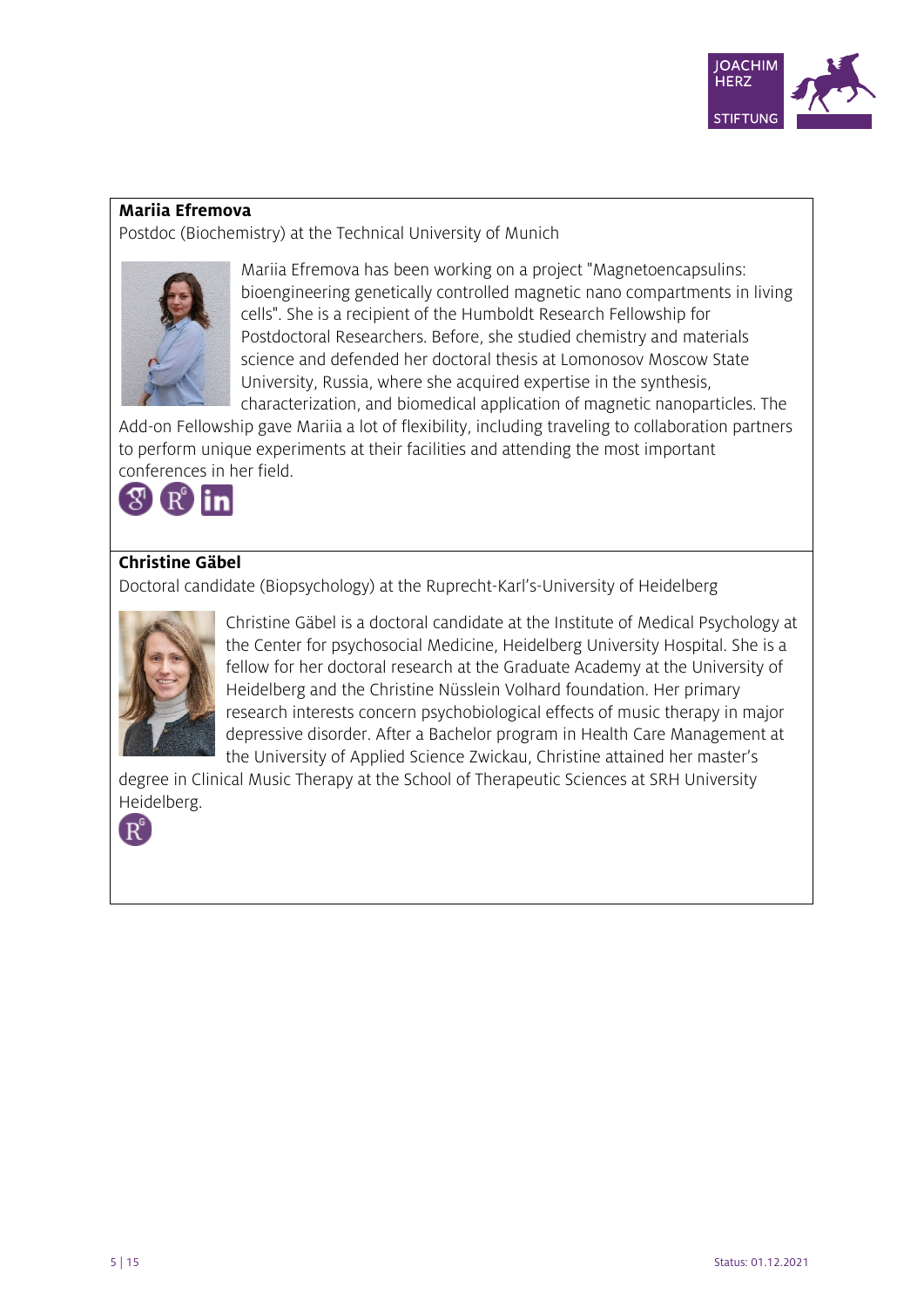

#### **Mariia Efremova**

Postdoc (Biochemistry) at the Technical University of Munich



Mariia Efremova has been working on a project "Magnetoencapsulins: bioengineering genetically controlled magnetic nano compartments in living cells". She is a recipient of the Humboldt Research Fellowship for Postdoctoral Researchers. Before, she studied chemistry and materials science and defended her doctoral thesis at Lomonosov Moscow State University, Russia, where she acquired expertise in the synthesis, characterization, and biomedical application of magnetic nanoparticles. The

Add-on Fellowship gave Mariia a lot of flexibility, including traveling to collaboration partners to perform unique experiments at their facilities and attending the most important conferences in her field.



# **Christine Gäbel**

Doctoral candidate (Biopsychology) at the Ruprecht-Karl's-University of Heidelberg



Christine Gäbel is a doctoral candidate at the Institute of Medical Psychology at the Center for psychosocial Medicine, Heidelberg University Hospital. She is a fellow for her doctoral research at the Graduate Academy at the University of Heidelberg and the Christine Nüsslein Volhard foundation. Her primary research interests concern psychobiological effects of music therapy in major depressive disorder. After a Bachelor program in Health Care Management at the University of Applied Science Zwickau, Christine attained her master's

degree in Clinical Music Therapy at the School of Therapeutic Sciences at SRH University Heidelberg.

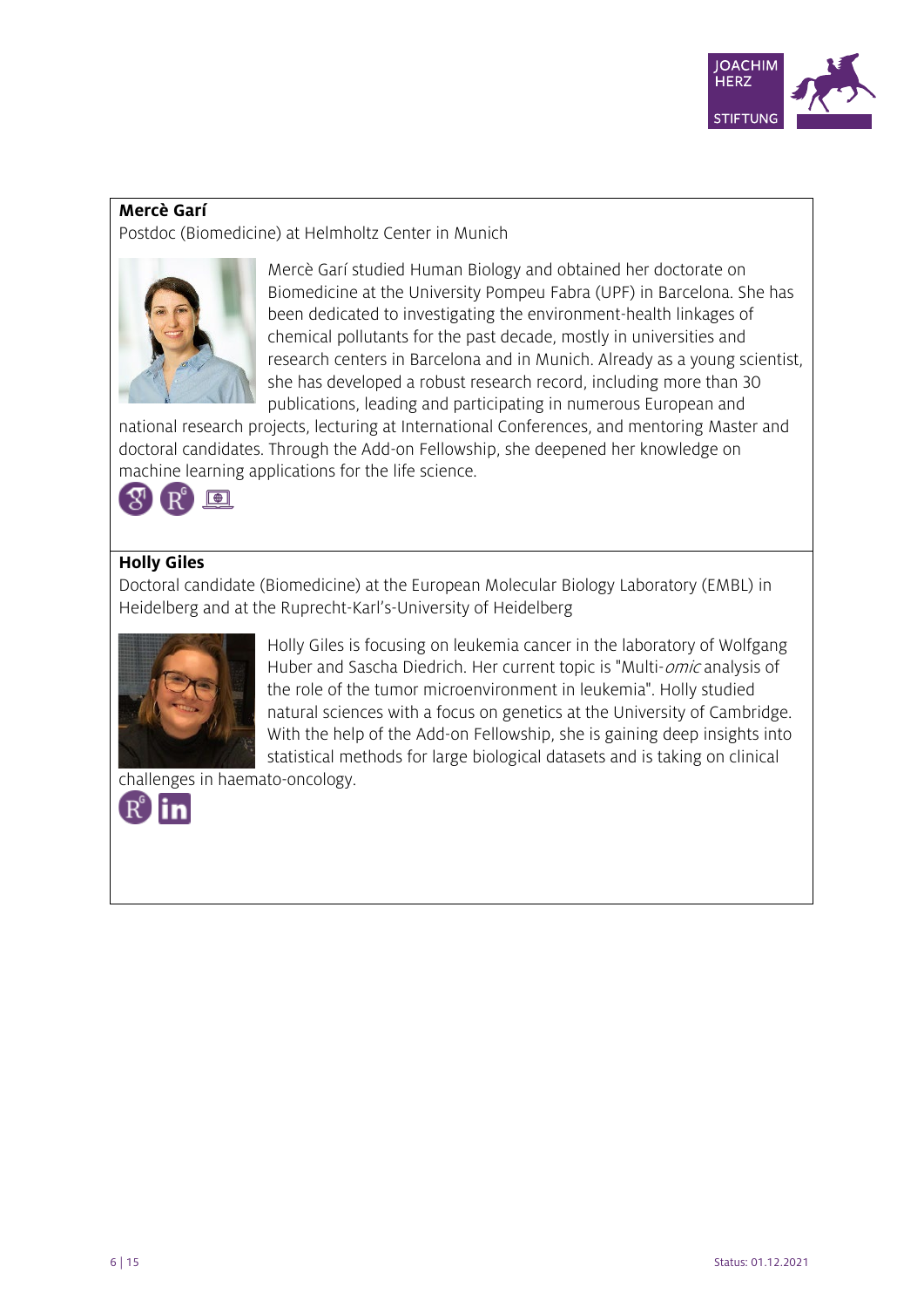

#### **Mercè Garí**

Postdoc (Biomedicine) at Helmholtz Center in Munich



Mercè Garí studied Human Biology and obtained her doctorate on Biomedicine at the University Pompeu Fabra (UPF) in Barcelona. She has been dedicated to investigating the environment-health linkages of chemical pollutants for the past decade, mostly in universities and research centers in Barcelona and in Munich. Already as a young scientist, she has developed a robust research record, including more than 30 publications, leading and participating in numerous European and

national research projects, lecturing at International Conferences, and mentoring Master and doctoral candidates. Through the Add-on Fellowship, she deepened her knowledge on machine learning applications for the life science.



#### **Holly Giles**

Doctoral candidate (Biomedicine) at the European Molecular Biology Laboratory (EMBL) in Heidelberg and at the Ruprecht-Karl's-University of Heidelberg



Holly Giles is focusing on leukemia cancer in the laboratory of Wolfgang Huber and Sascha Diedrich. Her current topic is "Multi-*omic* analysis of the role of the tumor microenvironment in leukemia". Holly studied natural sciences with a focus on genetics at the University of Cambridge. With the help of the Add-on Fellowship, she is gaining deep insights into statistical methods for large biological datasets and is taking on clinical

challenges in haemato-oncology.

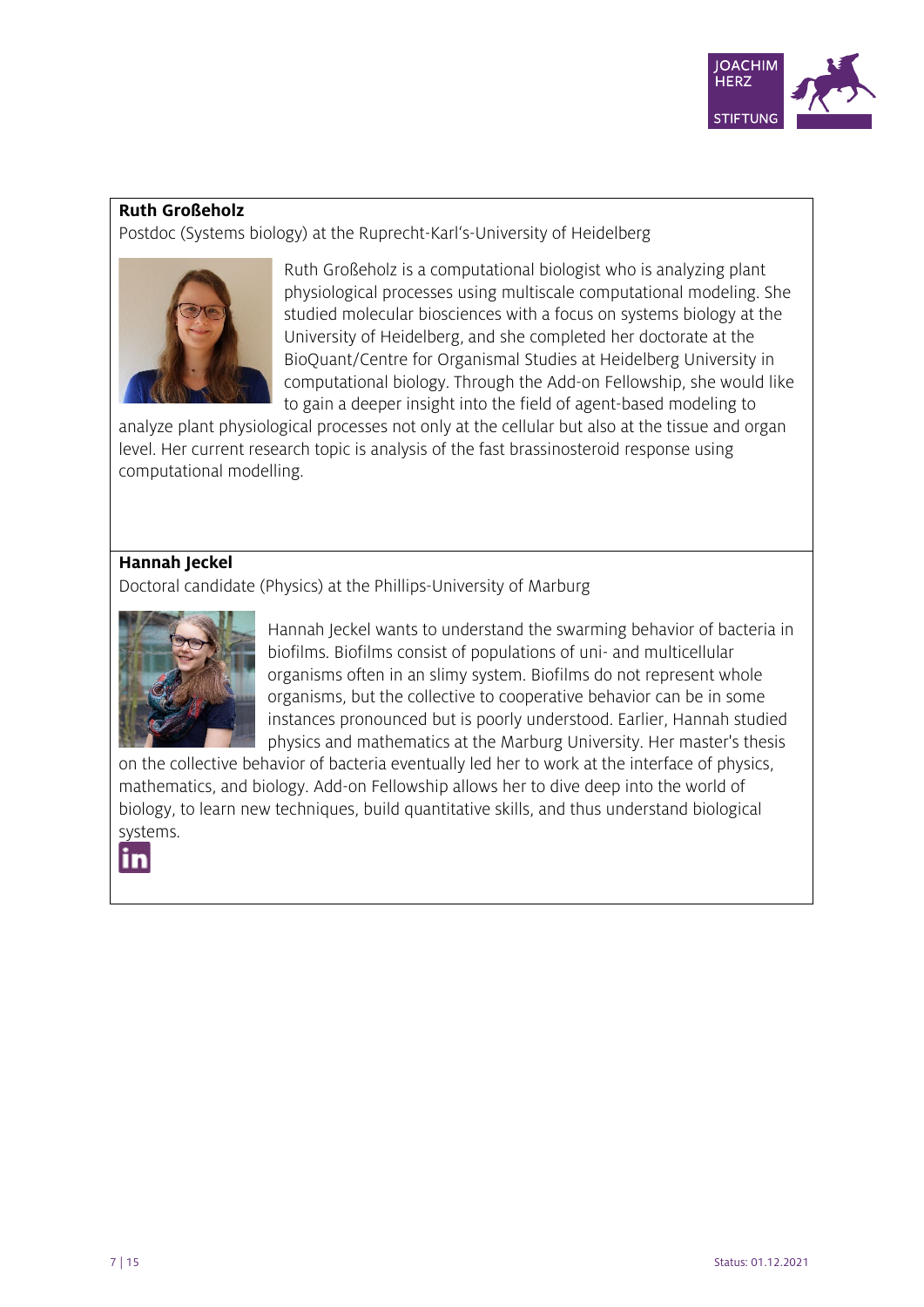

#### **Ruth Großeholz**

Postdoc (Systems biology) at the Ruprecht-Karl's-University of Heidelberg



Ruth Großeholz is a computational biologist who is analyzing plant physiological processes using multiscale computational modeling. She studied molecular biosciences with a focus on systems biology at the University of Heidelberg, and she completed her doctorate at the BioQuant/Centre for Organismal Studies at Heidelberg University in computational biology. Through the Add-on Fellowship, she would like to gain a deeper insight into the field of agent-based modeling to

analyze plant physiological processes not only at the cellular but also at the tissue and organ level. Her current research topic is analysis of the fast brassinosteroid response using computational modelling.

# **Hannah Jeckel**

Doctoral candidate (Physics) at the Phillips-University of Marburg



Hannah Jeckel wants to understand the swarming behavior of bacteria in biofilms. Biofilms consist of populations of uni- and multicellular organisms often in an slimy system. Biofilms do not represent whole organisms, but the collective to cooperative behavior can be in some instances pronounced but is poorly understood. Earlier, Hannah studied physics and mathematics at the Marburg University. Her master's thesis

on the collective behavior of bacteria eventually led her to work at the interface of physics, mathematics, and biology. Add-on Fellowship allows her to dive deep into the world of biology, to learn new techniques, build quantitative skills, and thus understand biological systems.

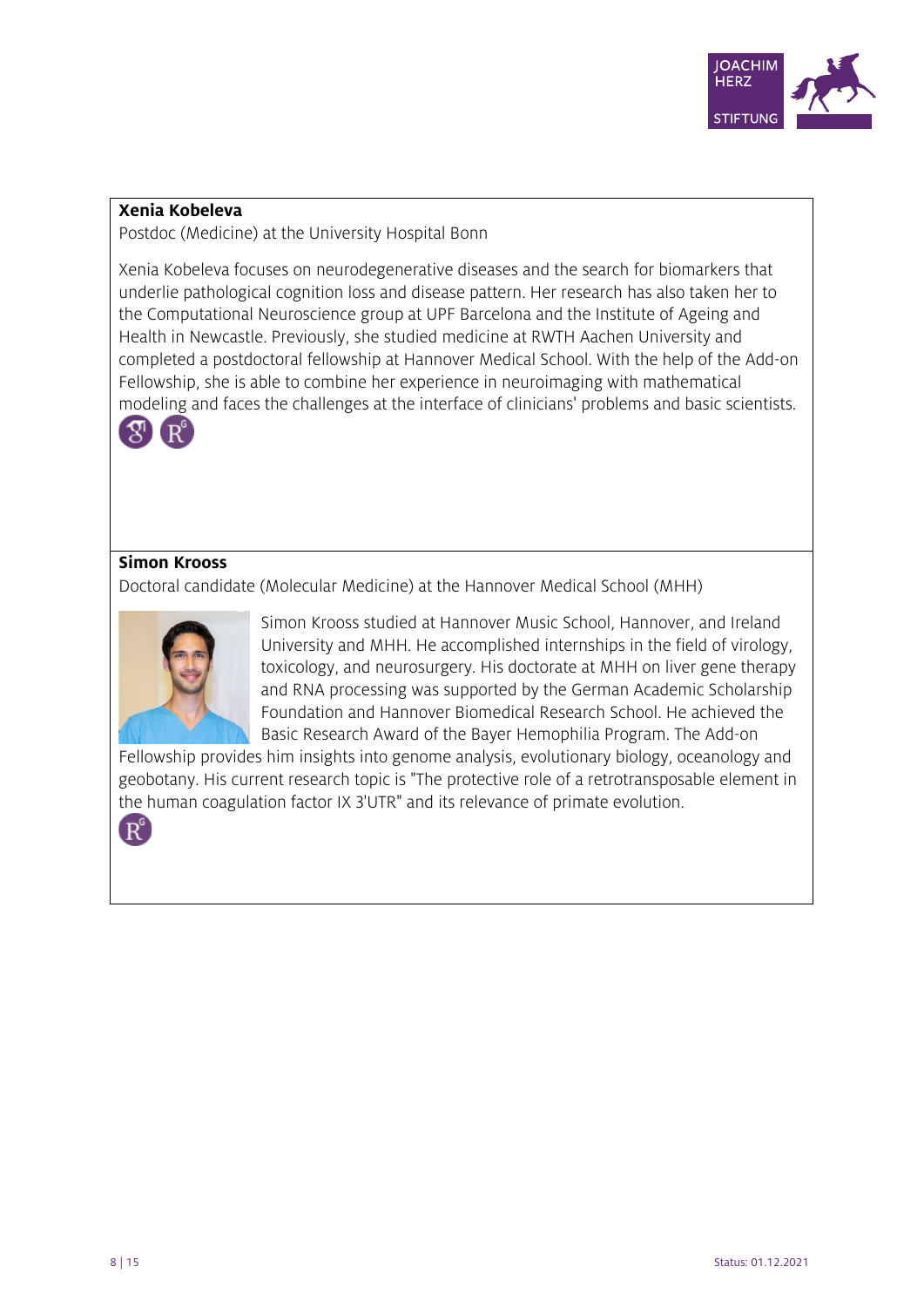

#### **Xenia Kobeleva**

Postdoc (Medicine) at the University Hospital Bonn

Xenia Kobeleva focuses on neurodegenerative diseases and the search for biomarkers that underlie pathological cognition loss and disease pattern. Her research has also taken her to the Computational Neuroscience group at UPF Barcelona and the Institute of Ageing and Health in Newcastle. Previously, she studied medicine at RWTH Aachen University and completed a postdoctoral fellowship at Hannover Medical School. With the help of the Add-on Fellowship, she is able to combine her experience in neuroimaging with mathematical modeling and faces the challenges at the interface of clinicians' problems and basic scientists.



#### **Simon Krooss**

Doctoral candidate (Molecular Medicine) at the Hannover Medical School (MHH)



Simon Krooss studied at Hannover Music School, Hannover, and Ireland University and MHH. He accomplished internships in the field of virology, toxicology, and neurosurgery. His doctorate at MHH on liver gene therapy and RNA processing was supported by the German Academic Scholarship Foundation and Hannover Biomedical Research School. He achieved the Basic Research Award of the Bayer Hemophilia Program. The Add-on

Fellowship provides him insights into genome analysis, evolutionary biology, oceanology and geobotany. His current research topic is "The protective role of a retrotransposable element in the human coagulation factor IX 3'UTR" and its relevance of primate evolution.

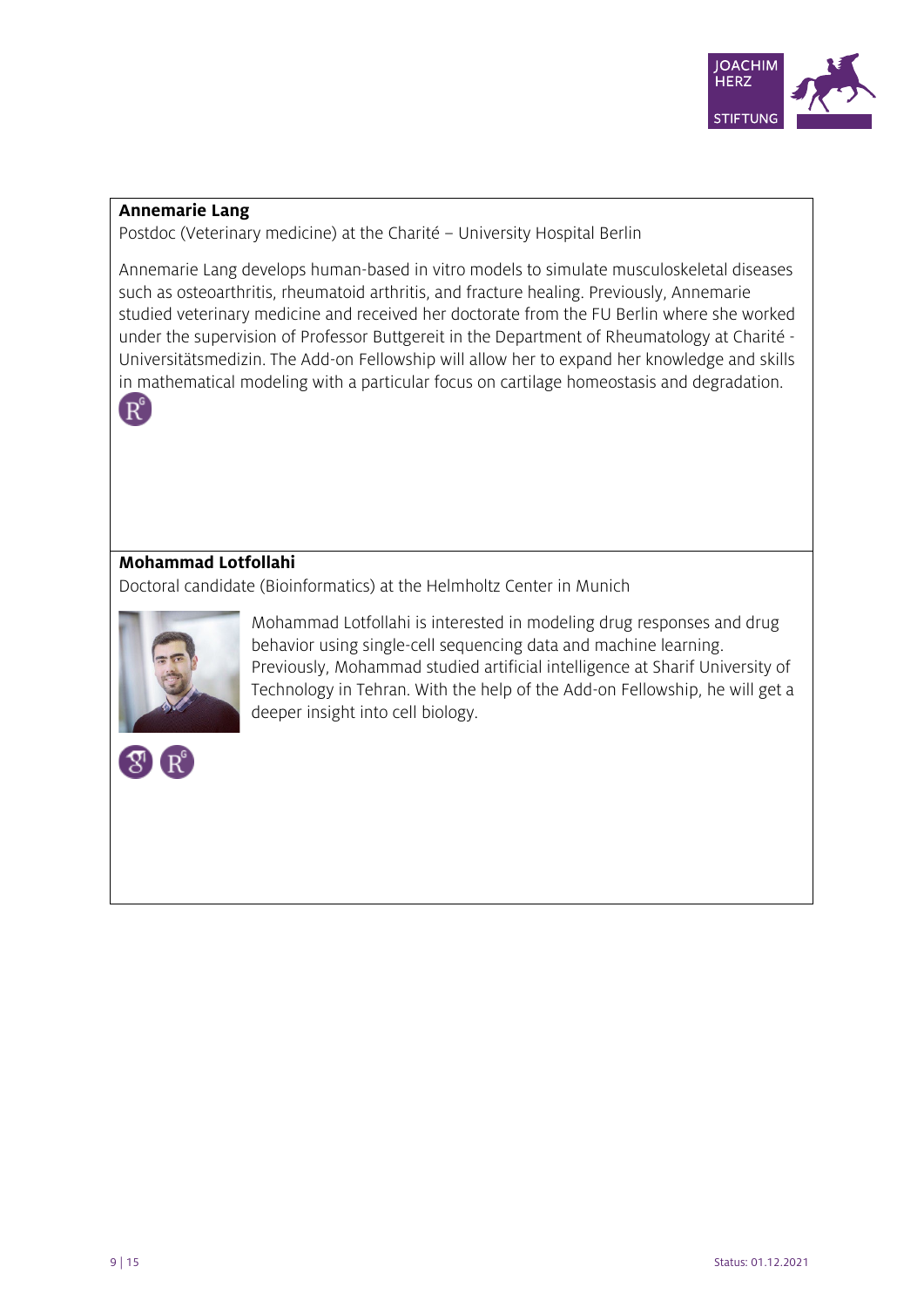

#### **Annemarie Lang**

Postdoc (Veterinary medicine) at the Charité – University Hospital Berlin

Annemarie Lang develops human-based in vitro models to simulate musculoskeletal diseases such as osteoarthritis, rheumatoid arthritis, and fracture healing. Previously, Annemarie studied veterinary medicine and received her doctorate from the FU Berlin where she worked under the supervision of Professor Buttgereit in the Department of Rheumatology at Charité - Universitätsmedizin. The Add-on Fellowship will allow her to expand her knowledge and skills in mathematical modeling with a particular focus on cartilage homeostasis and degradation.



## **Mohammad Lotfollahi**

Doctoral candidate (Bioinformatics) at the Helmholtz Center in Munich



Mohammad Lotfollahi is interested in modeling drug responses and drug behavior using single-cell sequencing data and machine learning. Previously, Mohammad studied artificial intelligence at Sharif University of Technology in Tehran. With the help of the Add-on Fellowship, he will get a deeper insight into cell biology.

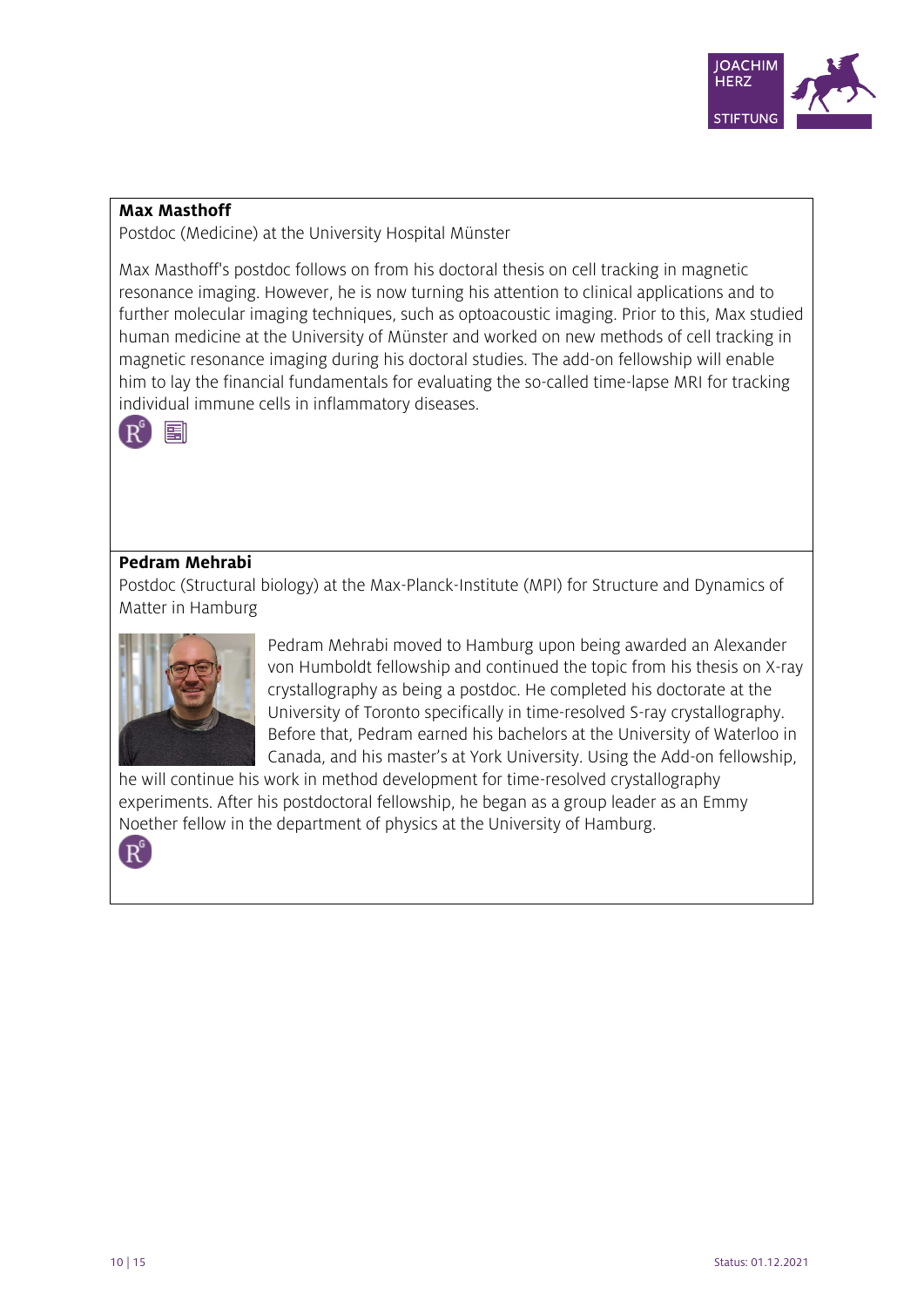

#### **Max Masthoff**

Postdoc (Medicine) at the University Hospital Münster

Max Masthoff's postdoc follows on from his doctoral thesis on cell tracking in magnetic resonance imaging. However, he is now turning his attention to clinical applications and to further molecular imaging techniques, such as optoacoustic imaging. Prior to this, Max studied human medicine at the University of Münster and worked on new methods of cell tracking in magnetic resonance imaging during his doctoral studies. The add-on fellowship will enable him to lay the financial fundamentals for evaluating the so-called time-lapse MRI for tracking individual immune cells in inflammatory diseases.



#### **Pedram Mehrabi**

Postdoc (Structural biology) at the Max-Planck-Institute (MPI) for Structure and Dynamics of Matter in Hamburg



Pedram Mehrabi moved to Hamburg upon being awarded an Alexander von Humboldt fellowship and continued the topic from his thesis on X-ray crystallography as being a postdoc. He completed his doctorate at the University of Toronto specifically in time-resolved S-ray crystallography. Before that, Pedram earned his bachelors at the University of Waterloo in Canada, and his master's at York University. Using the Add-on fellowship,

he will continue his work in method development for time-resolved crystallography experiments. After his postdoctoral fellowship, he began as a group leader as an Emmy Noether fellow in the department of physics at the University of Hamburg.

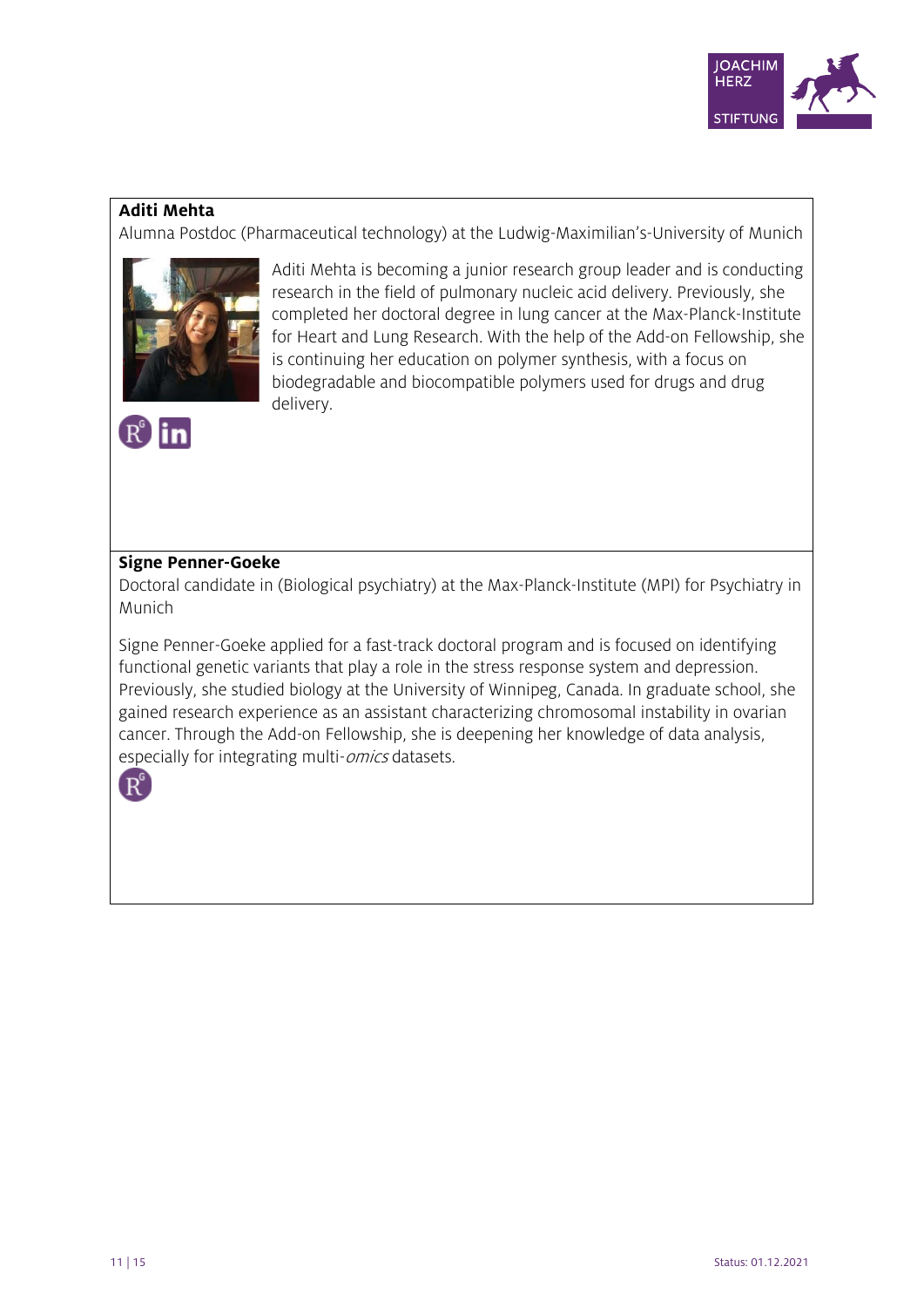

## **Aditi Mehta**

 $R^{\circ}$ in

Alumna Postdoc (Pharmaceutical technology) at the Ludwig-Maximilian's-University of Munich



Aditi Mehta is becoming a junior research group leader and is conducting research in the field of pulmonary nucleic acid delivery. Previously, she completed her doctoral degree in lung cancer at the Max-Planck-Institute for Heart and Lung Research. With the help of the Add-on Fellowship, she is continuing her education on polymer synthesis, with a focus on biodegradable and biocompatible polymers used for drugs and drug delivery.

## **Signe Penner-Goeke**

Doctoral candidate in (Biological psychiatry) at the Max-Planck-Institute (MPI) for Psychiatry in Munich

Signe Penner-Goeke applied for a fast-track doctoral program and is focused on identifying functional genetic variants that play a role in the stress response system and depression. Previously, she studied biology at the University of Winnipeg, Canada. In graduate school, she gained research experience as an assistant characterizing chromosomal instability in ovarian cancer. Through the Add-on Fellowship, she is deepening her knowledge of data analysis, especially for integrating multi-*omics* datasets.

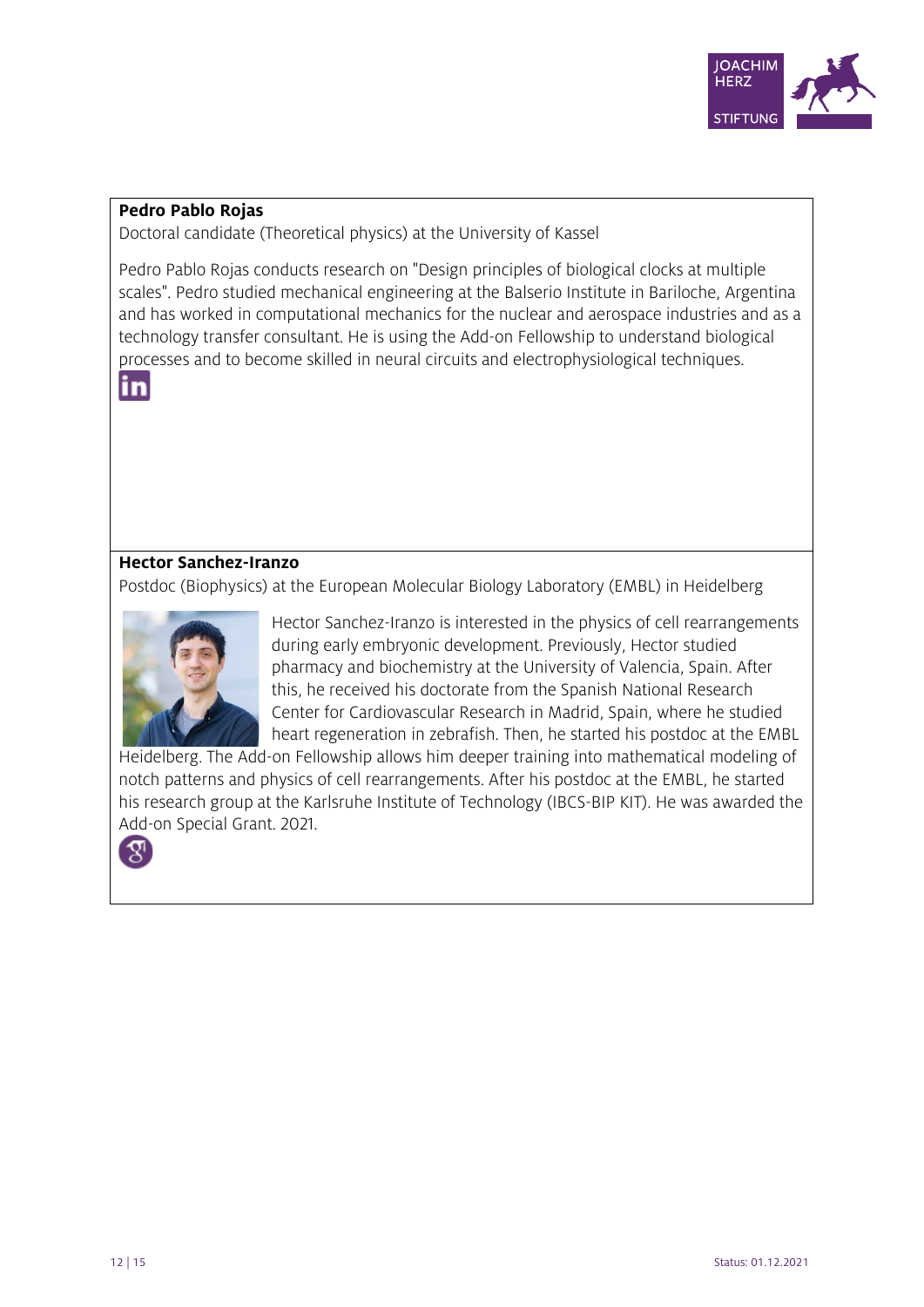

#### **Pedro Pablo Rojas**

Doctoral candidate (Theoretical physics) at the University of Kassel

Pedro Pablo Rojas conducts research on "Design principles of biological clocks at multiple scales". Pedro studied mechanical engineering at the Balserio Institute in Bariloche, Argentina and has worked in computational mechanics for the nuclear and aerospace industries and as a technology transfer consultant. He is using the Add-on Fellowship to understand biological processes and to become skilled in neural circuits and electrophysiological techniques.



## **Hector Sanchez-Iranzo**

Postdoc (Biophysics) at the European Molecular Biology Laboratory (EMBL) in Heidelberg



Hector Sanchez-Iranzo is interested in the physics of cell rearrangements during early embryonic development. Previously, Hector studied pharmacy and biochemistry at the University of Valencia, Spain. After this, he received his doctorate from the Spanish National Research Center for Cardiovascular Research in Madrid, Spain, where he studied heart regeneration in zebrafish. Then, he started his postdoc at the EMBL

Heidelberg. The Add-on Fellowship allows him deeper training into mathematical modeling of notch patterns and physics of cell rearrangements. After his postdoc at the EMBL, he started his research group at the Karlsruhe Institute of Technology (IBCS-BIP KIT). He was awarded the Add-on Special Grant. 2021.

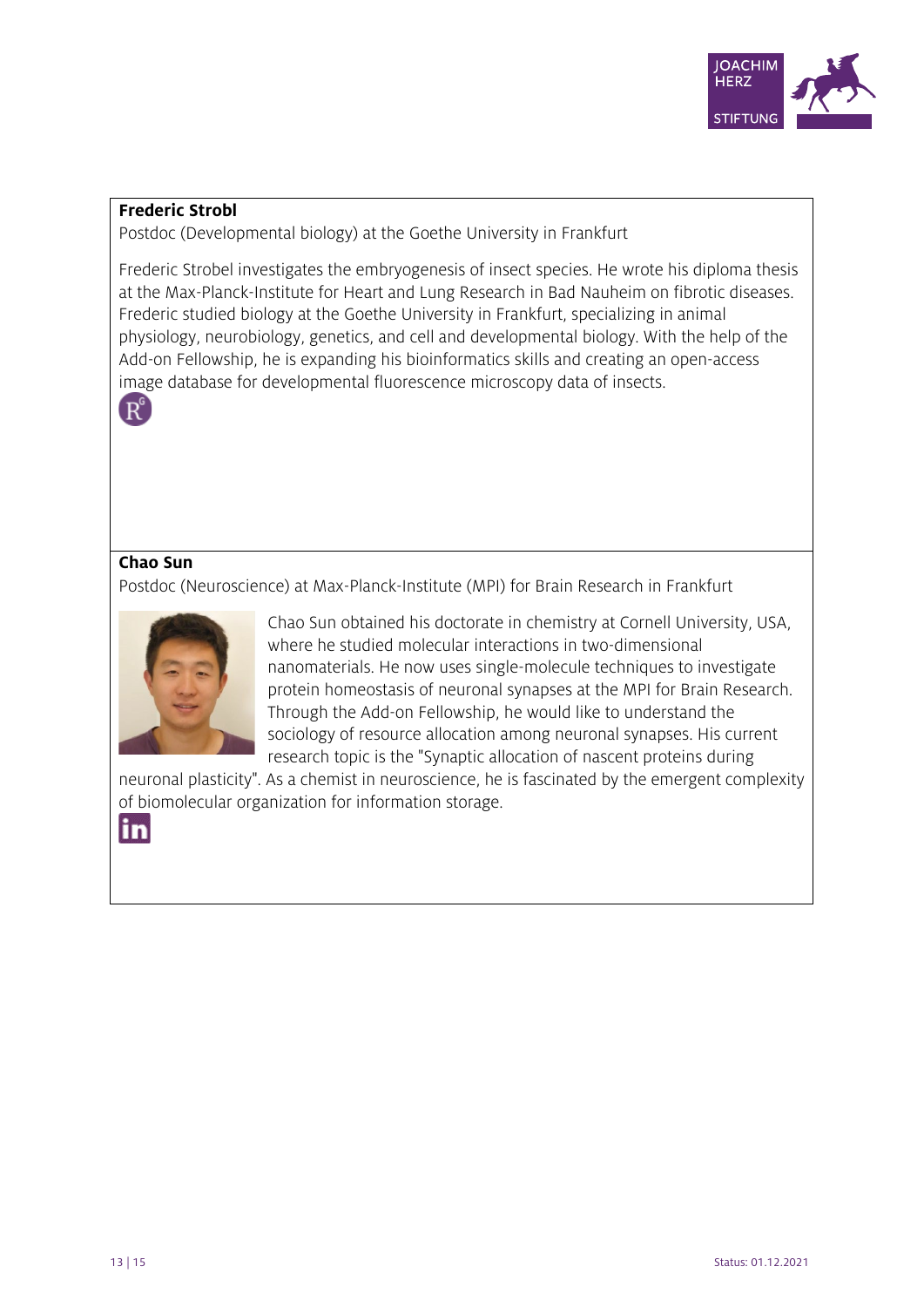

#### **Frederic Strobl**

Postdoc (Developmental biology) at the Goethe University in Frankfurt

Frederic Strobel investigates the embryogenesis of insect species. He wrote his diploma thesis at the Max-Planck-Institute for Heart and Lung Research in Bad Nauheim on fibrotic diseases. Frederic studied biology at the Goethe University in Frankfurt, specializing in animal physiology, neurobiology, genetics, and cell and developmental biology. With the help of the Add-on Fellowship, he is expanding his bioinformatics skills and creating an open-access image database for developmental fluorescence microscopy data of insects.



#### **Chao Sun**

Postdoc (Neuroscience) at Max-Planck-Institute (MPI) for Brain Research in Frankfurt



Chao Sun obtained his doctorate in chemistry at Cornell University, USA, where he studied molecular interactions in two-dimensional nanomaterials. He now uses single-molecule techniques to investigate protein homeostasis of neuronal synapses at the MPI for Brain Research. Through the Add-on Fellowship, he would like to understand the sociology of resource allocation among neuronal synapses. His current research topic is the "Synaptic allocation of nascent proteins during

neuronal plasticity". As a chemist in neuroscience, he is fascinated by the emergent complexity of biomolecular organization for information storage.

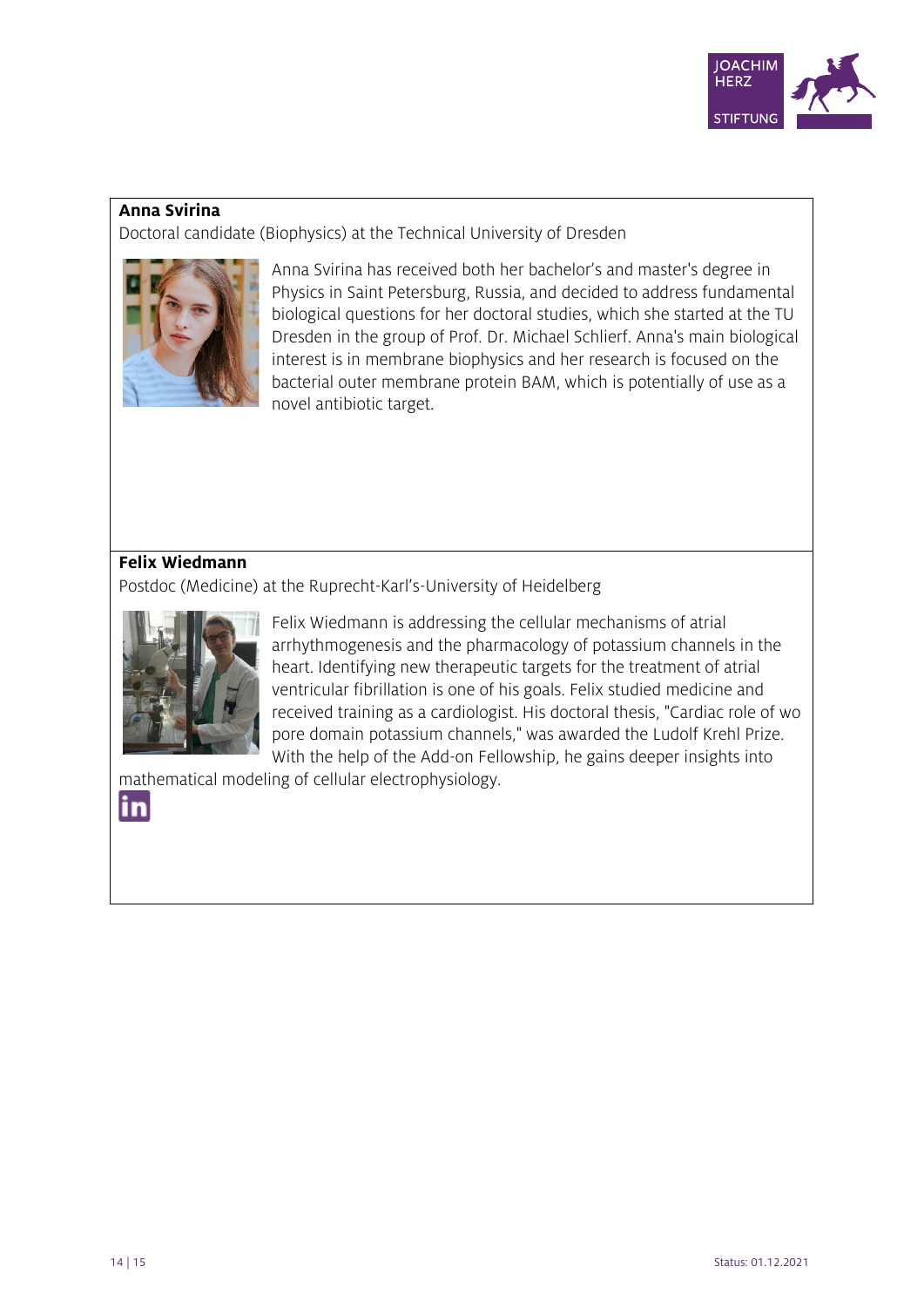

#### **Anna Svirina**

Doctoral candidate (Biophysics) at the Technical University of Dresden



Anna Svirina has received both her bachelor's and master's degree in Physics in Saint Petersburg, Russia, and decided to address fundamental biological questions for her doctoral studies, which she started at the TU Dresden in the group of Prof. Dr. Michael Schlierf. Anna's main biological interest is in membrane biophysics and her research is focused on the bacterial outer membrane protein BAM, which is potentially of use as a novel antibiotic target.

# **Felix Wiedmann**

Postdoc (Medicine) at the Ruprecht-Karl's-University of Heidelberg



Felix Wiedmann is addressing the cellular mechanisms of atrial arrhythmogenesis and the pharmacology of potassium channels in the heart. Identifying new therapeutic targets for the treatment of atrial ventricular fibrillation is one of his goals. Felix studied medicine and received training as a cardiologist. His doctoral thesis, "Cardiac role of wo pore domain potassium channels," was awarded the Ludolf Krehl Prize. With the help of the Add-on Fellowship, he gains deeper insights into

mathematical modeling of cellular electrophysiology.